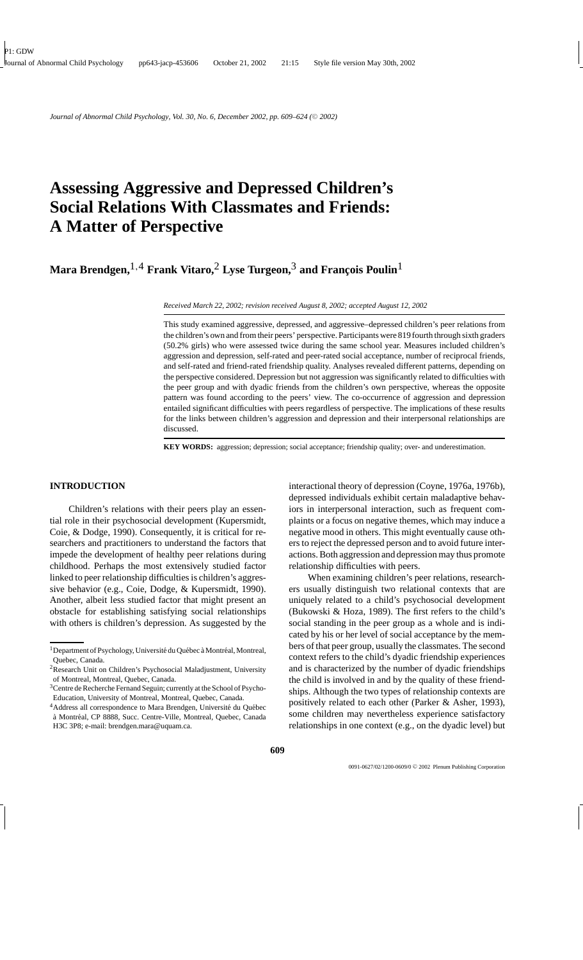# **Assessing Aggressive and Depressed Children's Social Relations With Classmates and Friends: A Matter of Perspective**

**Mara Brendgen,**<sup>1,4</sup> **Frank Vitaro,**<sup>2</sup> **Lyse Turgeon,**<sup>3</sup> and **François Poulin**<sup>1</sup>

*Received March 22, 2002; revision received August 8, 2002; accepted August 12, 2002*

This study examined aggressive, depressed, and aggressive–depressed children's peer relations from the children's own and from their peers' perspective. Participants were 819 fourth through sixth graders (50.2% girls) who were assessed twice during the same school year. Measures included children's aggression and depression, self-rated and peer-rated social acceptance, number of reciprocal friends, and self-rated and friend-rated friendship quality. Analyses revealed different patterns, depending on the perspective considered. Depression but not aggression was significantly related to difficulties with the peer group and with dyadic friends from the children's own perspective, whereas the opposite pattern was found according to the peers' view. The co-occurrence of aggression and depression entailed significant difficulties with peers regardless of perspective. The implications of these results for the links between children's aggression and depression and their interpersonal relationships are discussed.

**KEY WORDS:** aggression; depression; social acceptance; friendship quality; over- and underestimation.

# **INTRODUCTION**

Children's relations with their peers play an essential role in their psychosocial development (Kupersmidt, Coie, & Dodge, 1990). Consequently, it is critical for researchers and practitioners to understand the factors that impede the development of healthy peer relations during childhood. Perhaps the most extensively studied factor linked to peer relationship difficulties is children's aggressive behavior (e.g., Coie, Dodge, & Kupersmidt, 1990). Another, albeit less studied factor that might present an obstacle for establishing satisfying social relationships with others is children's depression. As suggested by the

interactional theory of depression (Coyne, 1976a, 1976b), depressed individuals exhibit certain maladaptive behaviors in interpersonal interaction, such as frequent complaints or a focus on negative themes, which may induce a negative mood in others. This might eventually cause others to reject the depressed person and to avoid future interactions. Both aggression and depression may thus promote relationship difficulties with peers.

When examining children's peer relations, researchers usually distinguish two relational contexts that are uniquely related to a child's psychosocial development (Bukowski & Hoza, 1989). The first refers to the child's social standing in the peer group as a whole and is indicated by his or her level of social acceptance by the members of that peer group, usually the classmates. The second context refers to the child's dyadic friendship experiences and is characterized by the number of dyadic friendships the child is involved in and by the quality of these friendships. Although the two types of relationship contexts are positively related to each other (Parker & Asher, 1993), some children may nevertheless experience satisfactory relationships in one context (e.g., on the dyadic level) but

 $^1$  Department of Psychology, Université du Québec à Montréal, Montreal, Quebec, Canada.

<sup>2</sup>Research Unit on Children's Psychosocial Maladjustment, University of Montreal, Montreal, Quebec, Canada.

<sup>3</sup>Centre de Recherche Fernand Seguin; currently at the School of Psycho-Education, University of Montreal, Montreal, Quebec, Canada.

<sup>&</sup>lt;sup>4</sup>Address all correspondence to Mara Brendgen, Université du Québec à Montréal, CP 8888, Succ. Centre-Ville, Montreal, Quebec, Canada H3C 3P8; e-mail: brendgen.mara@uquam.ca.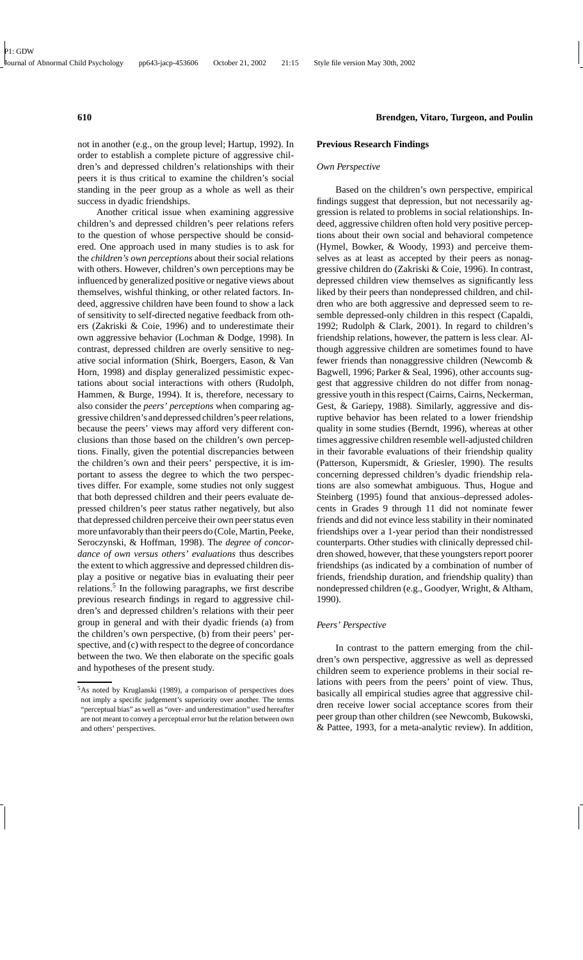not in another (e.g., on the group level; Hartup, 1992). In order to establish a complete picture of aggressive children's and depressed children's relationships with their peers it is thus critical to examine the children's social standing in the peer group as a whole as well as their success in dyadic friendships.

Another critical issue when examining aggressive children's and depressed children's peer relations refers to the question of whose perspective should be considered. One approach used in many studies is to ask for the *children's own perceptions* about their social relations with others. However, children's own perceptions may be influenced by generalized positive or negative views about themselves, wishful thinking, or other related factors. Indeed, aggressive children have been found to show a lack of sensitivity to self-directed negative feedback from others (Zakriski & Coie, 1996) and to underestimate their own aggressive behavior (Lochman & Dodge, 1998). In contrast, depressed children are overly sensitive to negative social information (Shirk, Boergers, Eason, & Van Horn, 1998) and display generalized pessimistic expectations about social interactions with others (Rudolph, Hammen, & Burge, 1994). It is, therefore, necessary to also consider the *peers' perceptions* when comparing aggressive children's and depressed children's peer relations, because the peers' views may afford very different conclusions than those based on the children's own perceptions. Finally, given the potential discrepancies between the children's own and their peers' perspective, it is important to assess the degree to which the two perspectives differ. For example, some studies not only suggest that both depressed children and their peers evaluate depressed children's peer status rather negatively, but also that depressed children perceive their own peer status even more unfavorably than their peers do (Cole, Martin, Peeke, Seroczynski, & Hoffman, 1998). The *degree of concordance of own versus others' evaluations* thus describes the extent to which aggressive and depressed children display a positive or negative bias in evaluating their peer relations.<sup>5</sup> In the following paragraphs, we first describe previous research findings in regard to aggressive children's and depressed children's relations with their peer group in general and with their dyadic friends (a) from the children's own perspective, (b) from their peers' perspective, and (c) with respect to the degree of concordance between the two. We then elaborate on the specific goals and hypotheses of the present study.

## **Previous Research Findings**

#### *Own Perspective*

Based on the children's own perspective, empirical findings suggest that depression, but not necessarily aggression is related to problems in social relationships. Indeed, aggressive children often hold very positive perceptions about their own social and behavioral competence (Hymel, Bowker, & Woody, 1993) and perceive themselves as at least as accepted by their peers as nonaggressive children do (Zakriski & Coie, 1996). In contrast, depressed children view themselves as significantly less liked by their peers than nondepressed children, and children who are both aggressive and depressed seem to resemble depressed-only children in this respect (Capaldi, 1992; Rudolph & Clark, 2001). In regard to children's friendship relations, however, the pattern is less clear. Although aggressive children are sometimes found to have fewer friends than nonaggressive children (Newcomb & Bagwell, 1996; Parker & Seal, 1996), other accounts suggest that aggressive children do not differ from nonaggressive youth in this respect (Cairns, Cairns, Neckerman, Gest, & Gariepy, 1988). Similarly, aggressive and disruptive behavior has been related to a lower friendship quality in some studies (Berndt, 1996), whereas at other times aggressive children resemble well-adjusted children in their favorable evaluations of their friendship quality (Patterson, Kupersmidt, & Griesler, 1990). The results concerning depressed children's dyadic friendship relations are also somewhat ambiguous. Thus, Hogue and Steinberg (1995) found that anxious–depressed adolescents in Grades 9 through 11 did not nominate fewer friends and did not evince less stability in their nominated friendships over a 1-year period than their nondistressed counterparts. Other studies with clinically depressed children showed, however, that these youngsters report poorer friendships (as indicated by a combination of number of friends, friendship duration, and friendship quality) than nondepressed children (e.g., Goodyer, Wright, & Altham, 1990).

#### *Peers' Perspective*

In contrast to the pattern emerging from the children's own perspective, aggressive as well as depressed children seem to experience problems in their social relations with peers from the peers' point of view. Thus, basically all empirical studies agree that aggressive children receive lower social acceptance scores from their peer group than other children (see Newcomb, Bukowski, & Pattee, 1993, for a meta-analytic review). In addition,

<sup>5</sup>As noted by Kruglanski (1989), a comparison of perspectives does not imply a specific judgement's superiority over another. The terms "perceptual bias" as well as "over- and underestimation" used hereafter are not meant to convey a perceptual error but the relation between own and others' perspectives.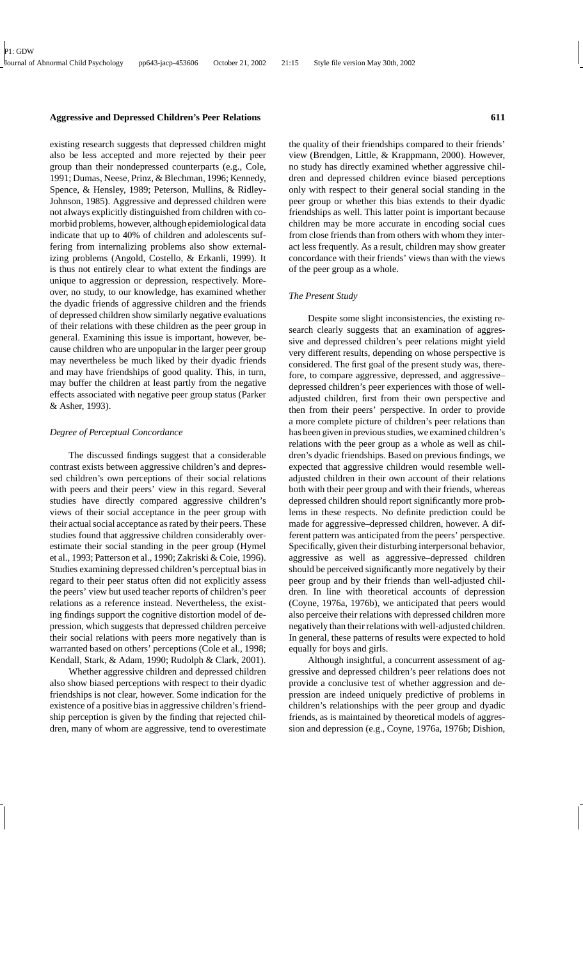existing research suggests that depressed children might also be less accepted and more rejected by their peer group than their nondepressed counterparts (e.g., Cole, 1991; Dumas, Neese, Prinz, & Blechman, 1996; Kennedy, Spence, & Hensley, 1989; Peterson, Mullins, & Ridley-Johnson, 1985). Aggressive and depressed children were not always explicitly distinguished from children with comorbid problems, however, although epidemiological data indicate that up to 40% of children and adolescents suffering from internalizing problems also show externalizing problems (Angold, Costello, & Erkanli, 1999). It is thus not entirely clear to what extent the findings are unique to aggression or depression, respectively. Moreover, no study, to our knowledge, has examined whether the dyadic friends of aggressive children and the friends of depressed children show similarly negative evaluations of their relations with these children as the peer group in general. Examining this issue is important, however, because children who are unpopular in the larger peer group may nevertheless be much liked by their dyadic friends and may have friendships of good quality. This, in turn, may buffer the children at least partly from the negative effects associated with negative peer group status (Parker & Asher, 1993).

## *Degree of Perceptual Concordance*

The discussed findings suggest that a considerable contrast exists between aggressive children's and depressed children's own perceptions of their social relations with peers and their peers' view in this regard. Several studies have directly compared aggressive children's views of their social acceptance in the peer group with their actual social acceptance as rated by their peers. These studies found that aggressive children considerably overestimate their social standing in the peer group (Hymel et al., 1993; Patterson et al., 1990; Zakriski & Coie, 1996). Studies examining depressed children's perceptual bias in regard to their peer status often did not explicitly assess the peers' view but used teacher reports of children's peer relations as a reference instead. Nevertheless, the existing findings support the cognitive distortion model of depression, which suggests that depressed children perceive their social relations with peers more negatively than is warranted based on others' perceptions (Cole et al., 1998; Kendall, Stark, & Adam, 1990; Rudolph & Clark, 2001).

Whether aggressive children and depressed children also show biased perceptions with respect to their dyadic friendships is not clear, however. Some indication for the existence of a positive bias in aggressive children's friendship perception is given by the finding that rejected children, many of whom are aggressive, tend to overestimate

the quality of their friendships compared to their friends' view (Brendgen, Little, & Krappmann, 2000). However, no study has directly examined whether aggressive children and depressed children evince biased perceptions only with respect to their general social standing in the peer group or whether this bias extends to their dyadic friendships as well. This latter point is important because children may be more accurate in encoding social cues from close friends than from others with whom they interact less frequently. As a result, children may show greater concordance with their friends' views than with the views of the peer group as a whole.

## *The Present Study*

Despite some slight inconsistencies, the existing research clearly suggests that an examination of aggressive and depressed children's peer relations might yield very different results, depending on whose perspective is considered. The first goal of the present study was, therefore, to compare aggressive, depressed, and aggressive– depressed children's peer experiences with those of welladjusted children, first from their own perspective and then from their peers' perspective. In order to provide a more complete picture of children's peer relations than has been given in previous studies, we examined children's relations with the peer group as a whole as well as children's dyadic friendships. Based on previous findings, we expected that aggressive children would resemble welladjusted children in their own account of their relations both with their peer group and with their friends, whereas depressed children should report significantly more problems in these respects. No definite prediction could be made for aggressive–depressed children, however. A different pattern was anticipated from the peers' perspective. Specifically, given their disturbing interpersonal behavior, aggressive as well as aggressive–depressed children should be perceived significantly more negatively by their peer group and by their friends than well-adjusted children. In line with theoretical accounts of depression (Coyne, 1976a, 1976b), we anticipated that peers would also perceive their relations with depressed children more negatively than their relations with well-adjusted children. In general, these patterns of results were expected to hold equally for boys and girls.

Although insightful, a concurrent assessment of aggressive and depressed children's peer relations does not provide a conclusive test of whether aggression and depression are indeed uniquely predictive of problems in children's relationships with the peer group and dyadic friends, as is maintained by theoretical models of aggression and depression (e.g., Coyne, 1976a, 1976b; Dishion,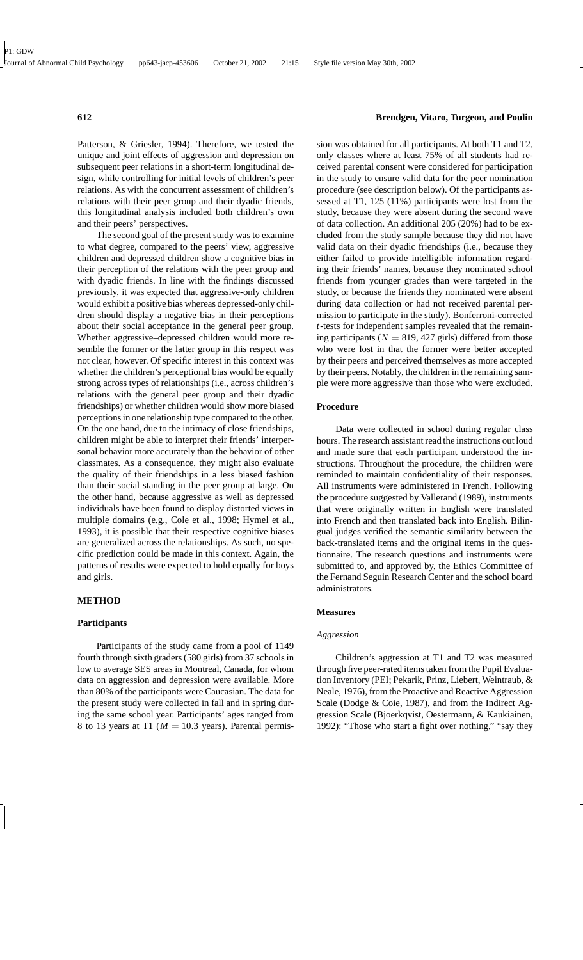Patterson, & Griesler, 1994). Therefore, we tested the unique and joint effects of aggression and depression on subsequent peer relations in a short-term longitudinal design, while controlling for initial levels of children's peer relations. As with the concurrent assessment of children's relations with their peer group and their dyadic friends, this longitudinal analysis included both children's own and their peers' perspectives.

The second goal of the present study was to examine to what degree, compared to the peers' view, aggressive children and depressed children show a cognitive bias in their perception of the relations with the peer group and with dyadic friends. In line with the findings discussed previously, it was expected that aggressive-only children would exhibit a positive bias whereas depressed-only children should display a negative bias in their perceptions about their social acceptance in the general peer group. Whether aggressive–depressed children would more resemble the former or the latter group in this respect was not clear, however. Of specific interest in this context was whether the children's perceptional bias would be equally strong across types of relationships (i.e., across children's relations with the general peer group and their dyadic friendships) or whether children would show more biased perceptions in one relationship type compared to the other. On the one hand, due to the intimacy of close friendships, children might be able to interpret their friends' interpersonal behavior more accurately than the behavior of other classmates. As a consequence, they might also evaluate the quality of their friendships in a less biased fashion than their social standing in the peer group at large. On the other hand, because aggressive as well as depressed individuals have been found to display distorted views in multiple domains (e.g., Cole et al., 1998; Hymel et al., 1993), it is possible that their respective cognitive biases are generalized across the relationships. As such, no specific prediction could be made in this context. Again, the patterns of results were expected to hold equally for boys and girls.

# **METHOD**

#### **Participants**

Participants of the study came from a pool of 1149 fourth through sixth graders (580 girls) from 37 schools in low to average SES areas in Montreal, Canada, for whom data on aggression and depression were available. More than 80% of the participants were Caucasian. The data for the present study were collected in fall and in spring during the same school year. Participants' ages ranged from 8 to 13 years at T1 ( $M = 10.3$  years). Parental permission was obtained for all participants. At both T1 and T2, only classes where at least 75% of all students had received parental consent were considered for participation in the study to ensure valid data for the peer nomination procedure (see description below). Of the participants assessed at T1, 125 (11%) participants were lost from the study, because they were absent during the second wave of data collection. An additional 205 (20%) had to be excluded from the study sample because they did not have valid data on their dyadic friendships (i.e., because they either failed to provide intelligible information regarding their friends' names, because they nominated school friends from younger grades than were targeted in the study, or because the friends they nominated were absent during data collection or had not received parental permission to participate in the study). Bonferroni-corrected *t*-tests for independent samples revealed that the remaining participants ( $N = 819, 427$  girls) differed from those who were lost in that the former were better accepted by their peers and perceived themselves as more accepted by their peers. Notably, the children in the remaining sample were more aggressive than those who were excluded.

## **Procedure**

Data were collected in school during regular class hours. The research assistant read the instructions out loud and made sure that each participant understood the instructions. Throughout the procedure, the children were reminded to maintain confidentiality of their responses. All instruments were administered in French. Following the procedure suggested by Vallerand (1989), instruments that were originally written in English were translated into French and then translated back into English. Bilingual judges verified the semantic similarity between the back-translated items and the original items in the questionnaire. The research questions and instruments were submitted to, and approved by, the Ethics Committee of the Fernand Seguin Research Center and the school board administrators.

#### **Measures**

#### *Aggression*

Children's aggression at T1 and T2 was measured through five peer-rated items taken from the Pupil Evaluation Inventory (PEI; Pekarik, Prinz, Liebert, Weintraub, & Neale, 1976), from the Proactive and Reactive Aggression Scale (Dodge & Coie, 1987), and from the Indirect Aggression Scale (Bjoerkqvist, Oestermann, & Kaukiainen, 1992): "Those who start a fight over nothing," "say they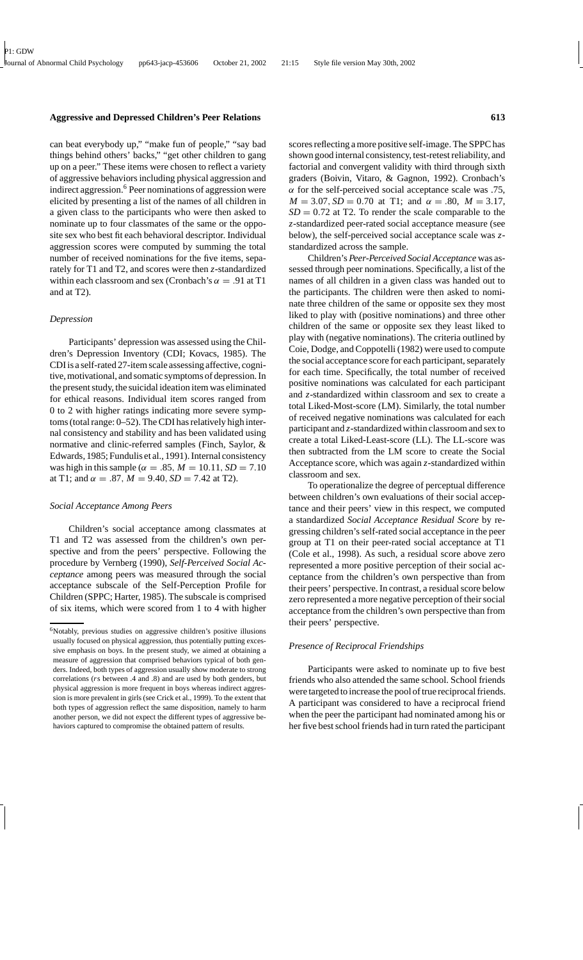can beat everybody up," "make fun of people," "say bad things behind others' backs," "get other children to gang up on a peer." These items were chosen to reflect a variety of aggressive behaviors including physical aggression and indirect aggression.<sup>6</sup> Peer nominations of aggression were elicited by presenting a list of the names of all children in a given class to the participants who were then asked to nominate up to four classmates of the same or the opposite sex who best fit each behavioral descriptor. Individual aggression scores were computed by summing the total number of received nominations for the five items, separately for T1 and T2, and scores were then *z*-standardized within each classroom and sex (Cronbach's  $\alpha = .91$  at T1 and at T2).

## *Depression*

Participants' depression was assessed using the Children's Depression Inventory (CDI; Kovacs, 1985). The CDI is a self-rated 27-item scale assessing affective, cognitive, motivational, and somatic symptoms of depression. In the present study, the suicidal ideation item was eliminated for ethical reasons. Individual item scores ranged from 0 to 2 with higher ratings indicating more severe symptoms (total range: 0–52). The CDI has relatively high internal consistency and stability and has been validated using normative and clinic-referred samples (Finch, Saylor, & Edwards, 1985; Fundulis et al., 1991). Internal consistency was high in this sample ( $\alpha = .85$ ,  $M = 10.11$ ,  $SD = 7.10$ at T1; and  $\alpha = .87$ ,  $M = 9.40$ ,  $SD = 7.42$  at T2).

#### *Social Acceptance Among Peers*

Children's social acceptance among classmates at T1 and T2 was assessed from the children's own perspective and from the peers' perspective. Following the procedure by Vernberg (1990), *Self-Perceived Social Acceptance* among peers was measured through the social acceptance subscale of the Self-Perception Profile for Children (SPPC; Harter, 1985). The subscale is comprised of six items, which were scored from 1 to 4 with higher

scores reflecting a more positive self-image. The SPPC has shown good internal consistency, test-retest reliability, and factorial and convergent validity with third through sixth graders (Boivin, Vitaro, & Gagnon, 1992). Cronbach's  $\alpha$  for the self-perceived social acceptance scale was .75, *M* = 3.07, *SD* = 0.70 at T1; and  $\alpha$  = .80, *M* = 3.17,  $SD = 0.72$  at T2. To render the scale comparable to the *z*-standardized peer-rated social acceptance measure (see below), the self-perceived social acceptance scale was *z*standardized across the sample.

Children's *Peer-Perceived Social Acceptance* was assessed through peer nominations. Specifically, a list of the names of all children in a given class was handed out to the participants. The children were then asked to nominate three children of the same or opposite sex they most liked to play with (positive nominations) and three other children of the same or opposite sex they least liked to play with (negative nominations). The criteria outlined by Coie, Dodge, and Coppotelli (1982) were used to compute the social acceptance score for each participant, separately for each time. Specifically, the total number of received positive nominations was calculated for each participant and *z*-standardized within classroom and sex to create a total Liked-Most-score (LM). Similarly, the total number of received negative nominations was calculated for each participant and *z*-standardized within classroom and sex to create a total Liked-Least-score (LL). The LL-score was then subtracted from the LM score to create the Social Acceptance score, which was again *z*-standardized within classroom and sex.

To operationalize the degree of perceptual difference between children's own evaluations of their social acceptance and their peers' view in this respect, we computed a standardized *Social Acceptance Residual Score* by regressing children's self-rated social acceptance in the peer group at T1 on their peer-rated social acceptance at T1 (Cole et al., 1998). As such, a residual score above zero represented a more positive perception of their social acceptance from the children's own perspective than from their peers' perspective. In contrast, a residual score below zero represented a more negative perception of their social acceptance from the children's own perspective than from their peers' perspective.

#### *Presence of Reciprocal Friendships*

Participants were asked to nominate up to five best friends who also attended the same school. School friends were targeted to increase the pool of true reciprocal friends. A participant was considered to have a reciprocal friend when the peer the participant had nominated among his or her five best school friends had in turn rated the participant

<sup>&</sup>lt;sup>6</sup>Notably, previous studies on aggressive children's positive illusions usually focused on physical aggression, thus potentially putting excessive emphasis on boys. In the present study, we aimed at obtaining a measure of aggression that comprised behaviors typical of both genders. Indeed, both types of aggression usually show moderate to strong correlations (*r*s between .4 and .8) and are used by both genders, but physical aggression is more frequent in boys whereas indirect aggression is more prevalent in girls (see Crick et al., 1999). To the extent that both types of aggression reflect the same disposition, namely to harm another person, we did not expect the different types of aggressive behaviors captured to compromise the obtained pattern of results.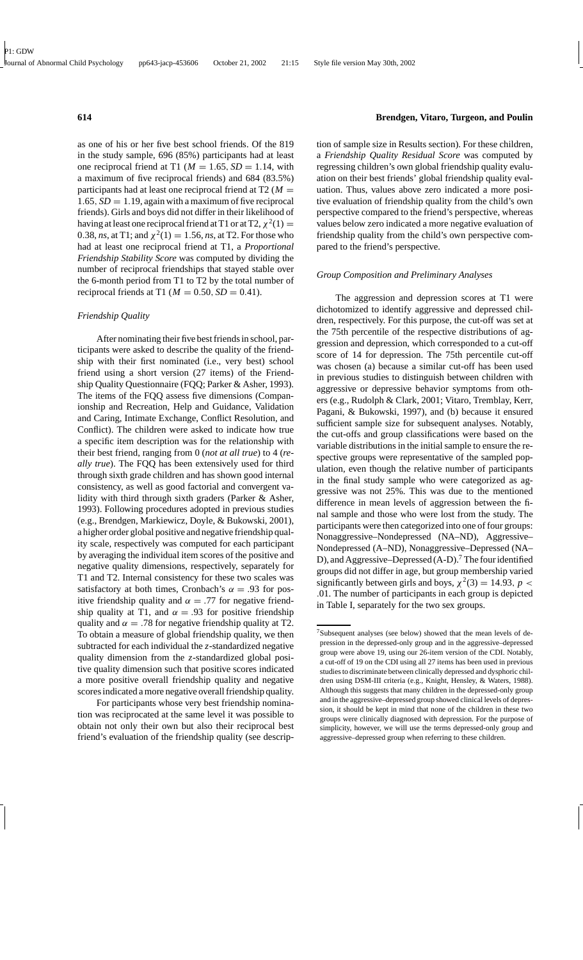as one of his or her five best school friends. Of the 819 in the study sample, 696 (85%) participants had at least one reciprocal friend at T1 ( $M = 1.65$ ,  $SD = 1.14$ , with a maximum of five reciprocal friends) and 684 (83.5%) participants had at least one reciprocal friend at T2 (*M* = 1.65,  $SD = 1.19$ , again with a maximum of five reciprocal friends). Girls and boys did not differ in their likelihood of having at least one reciprocal friend at T1 or at T2,  $\chi^2(1) =$ 0.38, *ns*, at T1; and  $\chi^2(1) = 1.56$ , *ns*, at T2. For those who had at least one reciprocal friend at T1, a *Proportional Friendship Stability Score* was computed by dividing the number of reciprocal friendships that stayed stable over the 6-month period from T1 to T2 by the total number of reciprocal friends at T1 ( $M = 0.50$ ,  $SD = 0.41$ ).

## *Friendship Quality*

After nominating their five best friends in school, participants were asked to describe the quality of the friendship with their first nominated (i.e., very best) school friend using a short version (27 items) of the Friendship Quality Questionnaire (FQQ; Parker & Asher, 1993). The items of the FQQ assess five dimensions (Companionship and Recreation, Help and Guidance, Validation and Caring, Intimate Exchange, Conflict Resolution, and Conflict). The children were asked to indicate how true a specific item description was for the relationship with their best friend, ranging from 0 (*not at all true*) to 4 (*really true*). The FQQ has been extensively used for third through sixth grade children and has shown good internal consistency, as well as good factorial and convergent validity with third through sixth graders (Parker & Asher, 1993). Following procedures adopted in previous studies (e.g., Brendgen, Markiewicz, Doyle, & Bukowski, 2001), a higher order global positive and negative friendship quality scale, respectively was computed for each participant by averaging the individual item scores of the positive and negative quality dimensions, respectively, separately for T1 and T2. Internal consistency for these two scales was satisfactory at both times, Cronbach's  $\alpha = .93$  for positive friendship quality and  $\alpha = .77$  for negative friendship quality at T1, and  $\alpha = .93$  for positive friendship quality and  $\alpha = .78$  for negative friendship quality at T2. To obtain a measure of global friendship quality, we then subtracted for each individual the *z*-standardized negative quality dimension from the *z*-standardized global positive quality dimension such that positive scores indicated a more positive overall friendship quality and negative scores indicated a more negative overall friendship quality.

For participants whose very best friendship nomination was reciprocated at the same level it was possible to obtain not only their own but also their reciprocal best friend's evaluation of the friendship quality (see description of sample size in Results section). For these children, a *Friendship Quality Residual Score* was computed by regressing children's own global friendship quality evaluation on their best friends' global friendship quality evaluation. Thus, values above zero indicated a more positive evaluation of friendship quality from the child's own perspective compared to the friend's perspective, whereas values below zero indicated a more negative evaluation of friendship quality from the child's own perspective compared to the friend's perspective.

#### *Group Composition and Preliminary Analyses*

The aggression and depression scores at T1 were dichotomized to identify aggressive and depressed children, respectively. For this purpose, the cut-off was set at the 75th percentile of the respective distributions of aggression and depression, which corresponded to a cut-off score of 14 for depression. The 75th percentile cut-off was chosen (a) because a similar cut-off has been used in previous studies to distinguish between children with aggressive or depressive behavior symptoms from others (e.g., Rudolph & Clark, 2001; Vitaro, Tremblay, Kerr, Pagani, & Bukowski, 1997), and (b) because it ensured sufficient sample size for subsequent analyses. Notably, the cut-offs and group classifications were based on the variable distributions in the initial sample to ensure the respective groups were representative of the sampled population, even though the relative number of participants in the final study sample who were categorized as aggressive was not 25%. This was due to the mentioned difference in mean levels of aggression between the final sample and those who were lost from the study. The participants were then categorized into one of four groups: Nonaggressive–Nondepressed (NA–ND), Aggressive– Nondepressed (A–ND), Nonaggressive–Depressed (NA– D), and Aggressive–Depressed (A-D).<sup>7</sup> The four identified groups did not differ in age, but group membership varied significantly between girls and boys,  $\chi^2(3) = 14.93$ ,  $p <$ .01. The number of participants in each group is depicted in Table I, separately for the two sex groups.

<sup>7</sup>Subsequent analyses (see below) showed that the mean levels of depression in the depressed-only group and in the aggressive–depressed group were above 19, using our 26-item version of the CDI. Notably, a cut-off of 19 on the CDI using all 27 items has been used in previous studies to discriminate between clinically depressed and dysphoric children using DSM-III criteria (e.g., Knight, Hensley, & Waters, 1988). Although this suggests that many children in the depressed-only group and in the aggressive–depressed group showed clinical levels of depression, it should be kept in mind that none of the children in these two groups were clinically diagnosed with depression. For the purpose of simplicity, however, we will use the terms depressed-only group and aggressive–depressed group when referring to these children.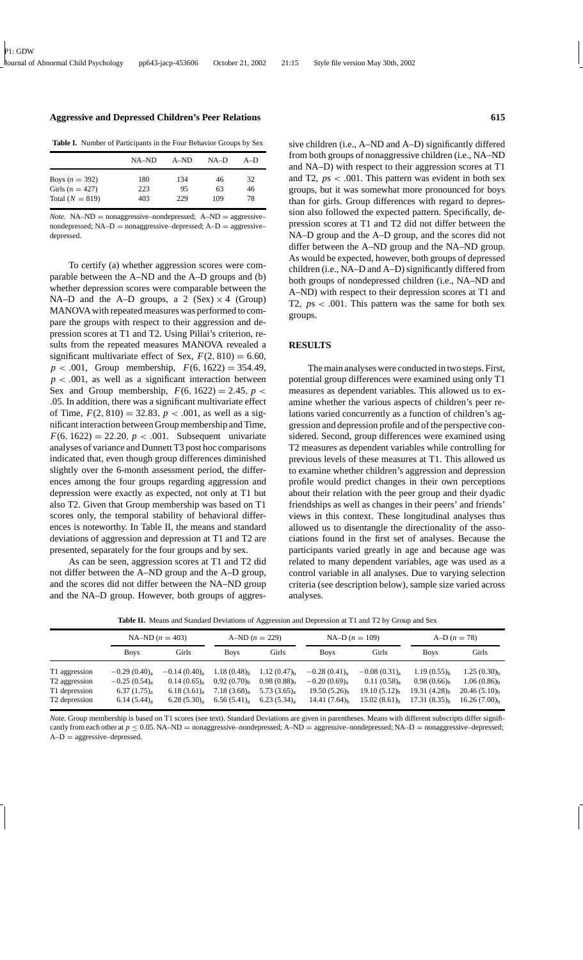**Table I.** Number of Participants in the Four Behavior Groups by Sex

|                   | NA–ND | $A-ND$ | $NA-D$ | $A-D$ |
|-------------------|-------|--------|--------|-------|
| Boys $(n = 392)$  | 180   | 134    | 46     | 32    |
| Girls $(n = 427)$ | 223   | 95     | 63     | 46    |
| Total $(N = 819)$ | 403   | 229    | 109    | 78    |

*Note.*  $NA-ND = nonaggregate-nondegreesed; A-ND = aggressive$ nondepressed;  $NA-D$  = nonaggressive–depressed;  $A-D$  = aggressive– depressed.

To certify (a) whether aggression scores were comparable between the A–ND and the A–D groups and (b) whether depression scores were comparable between the NA–D and the A–D groups, a 2 (Sex)  $\times$  4 (Group) MANOVA with repeated measures was performed to compare the groups with respect to their aggression and depression scores at T1 and T2. Using Pillai's criterion, results from the repeated measures MANOVA revealed a significant multivariate effect of Sex,  $F(2, 810) = 6.60$ ,  $p < .001$ , Group membership,  $F(6, 1622) = 354.49$ ,  $p < .001$ , as well as a significant interaction between Sex and Group membership,  $F(6, 1622) = 2.45$ ,  $p <$ .05. In addition, there was a significant multivariate effect of Time,  $F(2, 810) = 32.83$ ,  $p < .001$ , as well as a significant interaction between Group membership and Time,  $F(6, 1622) = 22.20, p < .001$ . Subsequent univariate analyses of variance and Dunnett T3 post hoc comparisons indicated that, even though group differences diminished slightly over the 6-month assessment period, the differences among the four groups regarding aggression and depression were exactly as expected, not only at T1 but also T2. Given that Group membership was based on T1 scores only, the temporal stability of behavioral differences is noteworthy. In Table II, the means and standard deviations of aggression and depression at T1 and T2 are presented, separately for the four groups and by sex.

As can be seen, aggression scores at T1 and T2 did not differ between the A–ND group and the A–D group, and the scores did not differ between the NA–ND group and the NA–D group. However, both groups of aggres-

sive children (i.e., A–ND and A–D) significantly differed from both groups of nonaggressive children (i.e., NA–ND and NA–D) with respect to their aggression scores at T1 and T2, *p*s < .001. This pattern was evident in both sex groups, but it was somewhat more pronounced for boys than for girls. Group differences with regard to depression also followed the expected pattern. Specifically, depression scores at T1 and T2 did not differ between the NA–D group and the A–D group, and the scores did not differ between the A–ND group and the NA–ND group. As would be expected, however, both groups of depressed children (i.e., NA–D and A–D) significantly differed from both groups of nondepressed children (i.e., NA–ND and A–ND) with respect to their depression scores at T1 and T2, *p*s < .001. This pattern was the same for both sex groups.

# **RESULTS**

The main analyses were conducted in two steps. First, potential group differences were examined using only T1 measures as dependent variables. This allowed us to examine whether the various aspects of children's peer relations varied concurrently as a function of children's aggression and depression profile and of the perspective considered. Second, group differences were examined using T2 measures as dependent variables while controlling for previous levels of these measures at T1. This allowed us to examine whether children's aggression and depression profile would predict changes in their own perceptions about their relation with the peer group and their dyadic friendships as well as changes in their peers' and friends' views in this context. These longitudinal analyses thus allowed us to disentangle the directionality of the associations found in the first set of analyses. Because the participants varied greatly in age and because age was related to many dependent variables, age was used as a control variable in all analyses. Due to varying selection criteria (see description below), sample size varied across analyses.

**Table II.** Means and Standard Deviations of Aggression and Depression at T1 and T2 by Group and Sex

|                           | $NA-ND (n = 403)$     |                            | A-ND $(n = 229)$          |                           | NA-D $(n = 109)$  |                            | A-D $(n = 78)$             |                   |
|---------------------------|-----------------------|----------------------------|---------------------------|---------------------------|-------------------|----------------------------|----------------------------|-------------------|
|                           | <b>Boys</b>           | Girls                      | <b>Boys</b>               | Girls                     | <b>Boys</b>       | Girls                      | <b>Boys</b>                | Girls             |
| T1 aggression             | $-0.29(0.40)_{a}$     | $-0.14(0.40)$ <sub>a</sub> | $1.18(0.48)_{h}$          | $1.12(0.47)$ <sub>h</sub> | $-0.28(0.41)_{a}$ | $-0.08(0.31)_{\rm a}$      | $1.19(0.55)$ <sub>h</sub>  | $1.25(0.30)_{h}$  |
| T <sub>2</sub> aggression | $-0.25(0.54)_{\rm a}$ | 0.14(0.65)                 | $0.92(0.70)$ <sub>h</sub> | $0.98(0.88)$ <sub>h</sub> | $-0.20(0.69)_{a}$ | $0.11(0.58)_{a}$           | $0.98(0.66)_{h}$           | $1.06(0.86)_{h}$  |
| T1 depression             | $6.37(1.75)_{a}$      | $6.18(3.61)_{a}$           | $7.18(3.68)_{a}$          | $5.73(3.65)_{a}$          | $19.50(5.26)_{h}$ | $19.10(5.12)$ <sub>h</sub> | $19.31(4.28)$ <sub>h</sub> | $20.46(5.10)_{h}$ |
| T <sub>2</sub> depression | $6.14(5.44)_{a}$      | $6.28(5.30)_{a}$           | 6.56(5.41)                | 6.23(5.34)                | $14.41(7.64)_{h}$ | $15.02(8.61)_{h}$          | $17.31(8.35)$ <sub>h</sub> | $16.26(7.00)_{h}$ |

*Note.* Group membership is based on T1 scores (see text). Standard Deviations are given in parentheses. Means with different subscripts differ significantly from each other at *p* ≤ 0.05. NA–ND = nonaggressive–nondepressed; A–ND = aggressive–nondepressed; NA–D = nonaggressive–depressed;  $A-D =$  aggressive–depressed.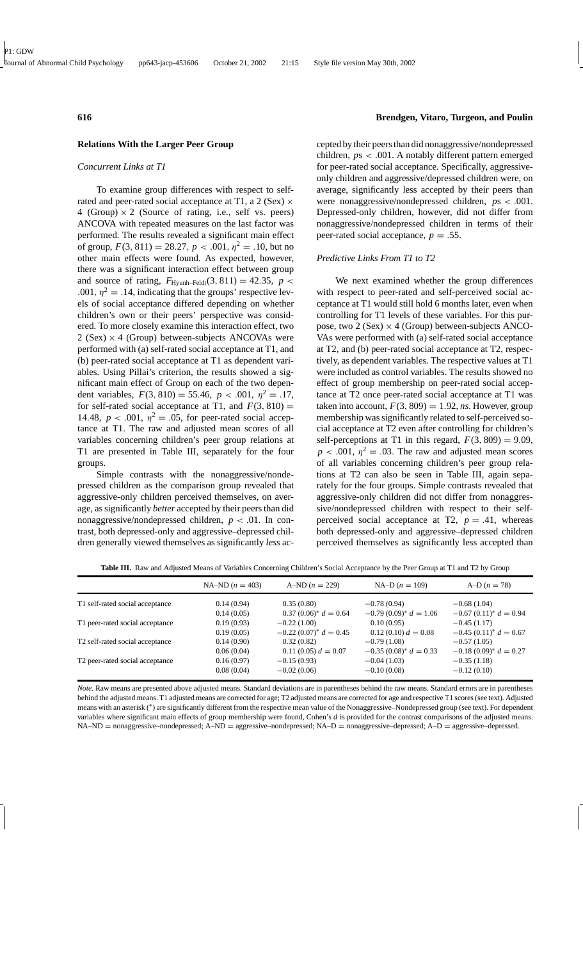## **Relations With the Larger Peer Group**

## *Concurrent Links at T1*

To examine group differences with respect to selfrated and peer-rated social acceptance at T1, a 2 (Sex)  $\times$ 4 (Group)  $\times$  2 (Source of rating, i.e., self vs. peers) ANCOVA with repeated measures on the last factor was performed. The results revealed a significant main effect of group,  $F(3, 811) = 28.27$ ,  $p < .001$ ,  $\eta^2 = .10$ , but no other main effects were found. As expected, however, there was a significant interaction effect between group and source of rating,  $F_{\text{Hyunh-Feldt}}(3, 811) = 42.35$ ,  $p <$ .001,  $\eta^2 = .14$ , indicating that the groups' respective levels of social acceptance differed depending on whether children's own or their peers' perspective was considered. To more closely examine this interaction effect, two  $2$  (Sex)  $\times$  4 (Group) between-subjects ANCOVAs were performed with (a) self-rated social acceptance at T1, and (b) peer-rated social acceptance at T1 as dependent variables. Using Pillai's criterion, the results showed a significant main effect of Group on each of the two dependent variables,  $F(3, 810) = 55.46$ ,  $p < .001$ ,  $\eta^2 = .17$ , for self-rated social acceptance at T1, and  $F(3, 810) =$ 14.48,  $p < .001$ ,  $\eta^2 = .05$ , for peer-rated social acceptance at T1. The raw and adjusted mean scores of all variables concerning children's peer group relations at T1 are presented in Table III, separately for the four groups.

Simple contrasts with the nonaggressive/nondepressed children as the comparison group revealed that aggressive-only children perceived themselves, on average, as significantly *better* accepted by their peers than did nonaggressive/nondepressed children,  $p < .01$ . In contrast, both depressed-only and aggressive–depressed children generally viewed themselves as significantly *less* accepted by their peers than did nonaggressive/nondepressed children, *p*s < .001. A notably different pattern emerged for peer-rated social acceptance. Specifically, aggressiveonly children and aggressive/depressed children were, on average, significantly less accepted by their peers than were nonaggressive/nondepressed children, *p*s < .001. Depressed-only children, however, did not differ from nonaggressive/nondepressed children in terms of their peer-rated social acceptance,  $p = .55$ .

## *Predictive Links From T1 to T2*

We next examined whether the group differences with respect to peer-rated and self-perceived social acceptance at T1 would still hold 6 months later, even when controlling for T1 levels of these variables. For this purpose, two 2 (Sex)  $\times$  4 (Group) between-subjects ANCO-VAs were performed with (a) self-rated social acceptance at T2, and (b) peer-rated social acceptance at T2, respectively, as dependent variables. The respective values at T1 were included as control variables. The results showed no effect of group membership on peer-rated social acceptance at T2 once peer-rated social acceptance at T1 was taken into account,  $F(3, 809) = 1.92$ , *ns*. However, group membership was significantly related to self-perceived social acceptance at T2 even after controlling for children's self-perceptions at T1 in this regard,  $F(3, 809) = 9.09$ ,  $p < .001$ ,  $n^2 = .03$ . The raw and adjusted mean scores of all variables concerning children's peer group relations at T2 can also be seen in Table III, again separately for the four groups. Simple contrasts revealed that aggressive-only children did not differ from nonaggressive/nondepressed children with respect to their selfperceived social acceptance at T2,  $p = .41$ , whereas both depressed-only and aggressive–depressed children perceived themselves as significantly less accepted than

|                                 | NA-ND $(n = 403)$ | A-ND $(n = 229)$           | NA-D $(n = 109)$           | A-D $(n = 78)$             |
|---------------------------------|-------------------|----------------------------|----------------------------|----------------------------|
| T1 self-rated social acceptance | 0.14(0.94)        | 0.35(0.80)                 | $-0.78(0.94)$              | $-0.68(1.04)$              |
|                                 | 0.14(0.05)        | $0.37(0.06)^{*} d = 0.64$  | $-0.79(0.09)^* d = 1.06$   | $-0.67(0.11)^{*} d = 0.94$ |
| T1 peer-rated social acceptance | 0.19(0.93)        | $-0.22(1.00)$              | 0.10(0.95)                 | $-0.45(1.17)$              |
|                                 | 0.19(0.05)        | $-0.22(0.07)^{*} d = 0.45$ | $0.12(0.10) d = 0.08$      | $-0.45(0.11)^{*} d = 0.67$ |
| T2 self-rated social acceptance | 0.14(0.90)        | 0.32(0.82)                 | $-0.79(1.08)$              | $-0.57(1.05)$              |
|                                 | 0.06(0.04)        | $0.11(0.05) d = 0.07$      | $-0.35(0.08)^{*} d = 0.33$ | $-0.18(0.09)^{*} d = 0.27$ |
| T2 peer-rated social acceptance | 0.16(0.97)        | $-0.15(0.93)$              | $-0.04(1.03)$              | $-0.35(1.18)$              |
|                                 | 0.08(0.04)        | $-0.02(0.06)$              | $-0.10(0.08)$              | $-0.12(0.10)$              |

**Table III.** Raw and Adjusted Means of Variables Concerning Children's Social Acceptance by the Peer Group at T1 and T2 by Group

*Note.* Raw means are presented above adjusted means. Standard deviations are in parentheses behind the raw means. Standard errors are in parentheses behind the adjusted means. T1 adjusted means are corrected for age; T2 adjusted means are corrected for age and respective T1 scores (see text). Adjusted means with an asterisk (∗) are significantly different from the respective mean value of the Nonaggressive–Nondepressed group (see text). For dependent variables where significant main effects of group membership were found, Cohen's *d* is provided for the contrast comparisons of the adjusted means. NA–ND = nonaggressive–nondepressed; A–ND = aggressive–nondepressed; NA–D = nonaggressive–depressed; A–D = aggressive–depressed.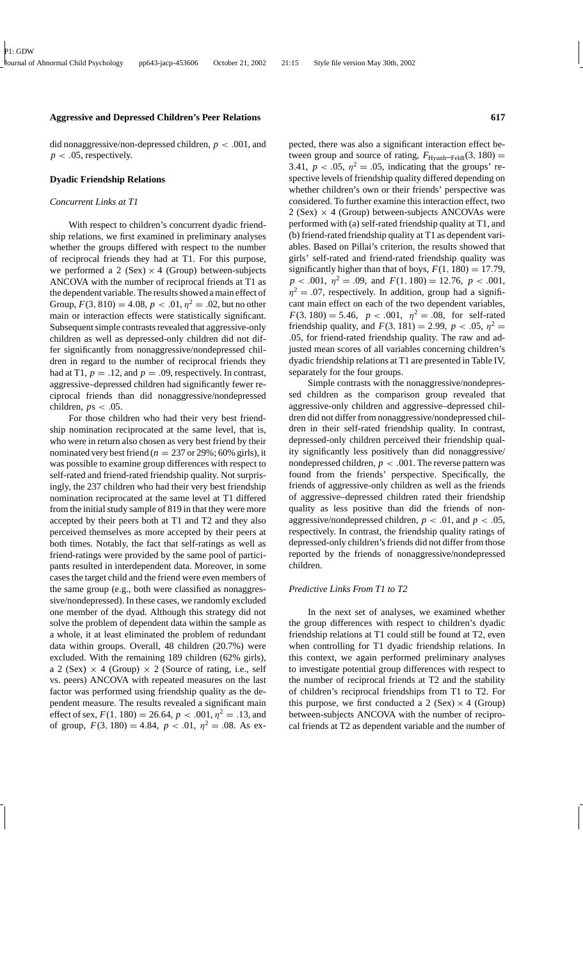did nonaggressive/non-depressed children, *p* < .001, and  $p < .05$ , respectively.

## **Dyadic Friendship Relations**

#### *Concurrent Links at T1*

With respect to children's concurrent dyadic friendship relations, we first examined in preliminary analyses whether the groups differed with respect to the number of reciprocal friends they had at T1. For this purpose, we performed a 2 (Sex)  $\times$  4 (Group) between-subjects ANCOVA with the number of reciprocal friends at T1 as the dependent variable. The results showed a main effect of Group,  $F(3, 810) = 4.08$ ,  $p < .01$ ,  $\eta^2 = .02$ , but no other main or interaction effects were statistically significant. Subsequent simple contrasts revealed that aggressive-only children as well as depressed-only children did not differ significantly from nonaggressive/nondepressed children in regard to the number of reciprocal friends they had at T1,  $p = .12$ , and  $p = .09$ , respectively. In contrast, aggressive–depressed children had significantly fewer reciprocal friends than did nonaggressive/nondepressed children, *p*s < .05.

For those children who had their very best friendship nomination reciprocated at the same level, that is, who were in return also chosen as very best friend by their nominated very best friend ( $n = 237$  or 29%; 60% girls), it was possible to examine group differences with respect to self-rated and friend-rated friendship quality. Not surprisingly, the 237 children who had their very best friendship nomination reciprocated at the same level at T1 differed from the initial study sample of 819 in that they were more accepted by their peers both at T1 and T2 and they also perceived themselves as more accepted by their peers at both times. Notably, the fact that self-ratings as well as friend-ratings were provided by the same pool of participants resulted in interdependent data. Moreover, in some cases the target child and the friend were even members of the same group (e.g., both were classified as nonaggressive/nondepressed). In these cases, we randomly excluded one member of the dyad. Although this strategy did not solve the problem of dependent data within the sample as a whole, it at least eliminated the problem of redundant data within groups. Overall, 48 children (20.7%) were excluded. With the remaining 189 children (62% girls), a 2 (Sex)  $\times$  4 (Group)  $\times$  2 (Source of rating, i.e., self vs. peers) ANCOVA with repeated measures on the last factor was performed using friendship quality as the dependent measure. The results revealed a significant main effect of sex,  $F(1, 180) = 26.64$ ,  $p < .001$ ,  $\eta^2 = .13$ , and of group,  $F(3, 180) = 4.84$ ,  $p < .01$ ,  $\eta^2 = .08$ . As ex-

pected, there was also a significant interaction effect between group and source of rating,  $F_{\text{Hyunh}-\text{Feldt}}(3, 180) =$ 3.41,  $p < .05$ ,  $\eta^2 = .05$ , indicating that the groups' respective levels of friendship quality differed depending on whether children's own or their friends' perspective was considered. To further examine this interaction effect, two  $2$  (Sex)  $\times$  4 (Group) between-subjects ANCOVAs were performed with (a) self-rated friendship quality at T1, and (b) friend-rated friendship quality at T1 as dependent variables. Based on Pillai's criterion, the results showed that girls' self-rated and friend-rated friendship quality was significantly higher than that of boys,  $F(1, 180) = 17.79$ ,  $p < .001$ ,  $\eta^2 = .09$ , and  $F(1, 180) = 12.76$ ,  $p < .001$ ,  $\eta^2 = 0.07$ , respectively. In addition, group had a significant main effect on each of the two dependent variables,  $F(3, 180) = 5.46$ ,  $p < .001$ ,  $\eta^2 = .08$ , for self-rated friendship quality, and  $F(3, 181) = 2.99$ ,  $p < .05$ ,  $\eta^2 =$ .05, for friend-rated friendship quality. The raw and adjusted mean scores of all variables concerning children's dyadic friendship relations at T1 are presented in Table IV, separately for the four groups.

Simple contrasts with the nonaggressive/nondepressed children as the comparison group revealed that aggressive-only children and aggressive–depressed children did not differ from nonaggressive/nondepressed children in their self-rated friendship quality. In contrast, depressed-only children perceived their friendship quality significantly less positively than did nonaggressive/ nondepressed children,  $p < .001$ . The reverse pattern was found from the friends' perspective. Specifically, the friends of aggressive-only children as well as the friends of aggressive–depressed children rated their friendship quality as less positive than did the friends of nonaggressive/nondepressed children,  $p < .01$ , and  $p < .05$ , respectively. In contrast, the friendship quality ratings of depressed-only children's friends did not differ from those reported by the friends of nonaggressive/nondepressed children.

## *Predictive Links From T1 to T2*

In the next set of analyses, we examined whether the group differences with respect to children's dyadic friendship relations at T1 could still be found at T2, even when controlling for T1 dyadic friendship relations. In this context, we again performed preliminary analyses to investigate potential group differences with respect to the number of reciprocal friends at T2 and the stability of children's reciprocal friendships from T1 to T2. For this purpose, we first conducted a 2 (Sex)  $\times$  4 (Group) between-subjects ANCOVA with the number of reciprocal friends at T2 as dependent variable and the number of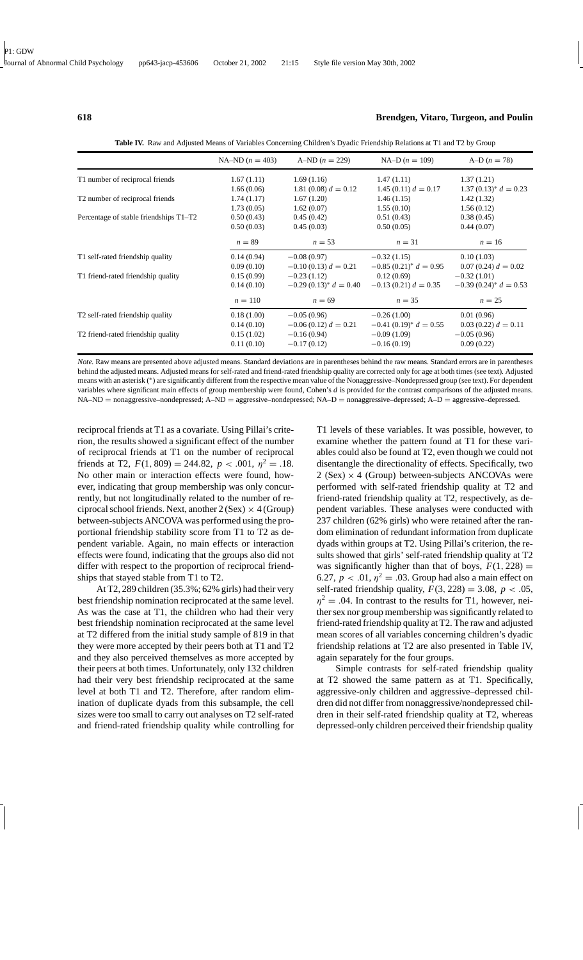|                                                | NA-ND $(n = 403)$ | A-ND $(n = 229)$           | NA-D $(n = 109)$           | A-D $(n = 78)$             |
|------------------------------------------------|-------------------|----------------------------|----------------------------|----------------------------|
| T1 number of reciprocal friends                | 1.67(1.11)        | 1.69(1.16)                 | 1.47(1.11)                 | 1.37(1.21)                 |
|                                                | 1.66(0.06)        | 1.81 (0.08) $d = 0.12$     | 1.45 (0.11) $d = 0.17$     | $1.37(0.13)^{*} d = 0.23$  |
| T <sub>2</sub> number of reciprocal friends    | 1.74(1.17)        | 1.67(1.20)                 | 1.46(1.15)                 | 1.42(1.32)                 |
|                                                | 1.73(0.05)        | 1.62(0.07)                 | 1.55(0.10)                 | 1.56(0.12)                 |
| Percentage of stable friendships T1-T2         | 0.50(0.43)        | 0.45(0.42)                 | 0.51(0.43)                 | 0.38(0.45)                 |
|                                                | 0.50(0.03)        | 0.45(0.03)                 | 0.50(0.05)                 | 0.44(0.07)                 |
|                                                | $n = 89$          | $n=53$                     | $n=31$                     | $n=16$                     |
| T1 self-rated friendship quality               | 0.14(0.94)        | $-0.08(0.97)$              | $-0.32(1.15)$              | 0.10(1.03)                 |
|                                                | 0.09(0.10)        | $-0.10(0.13) d = 0.21$     | $-0.85(0.21)^{*} d = 0.95$ | $0.07(0.24) d = 0.02$      |
| T1 friend-rated friendship quality             | 0.15(0.99)        | $-0.23(1.12)$              | 0.12(0.69)                 | $-0.32(1.01)$              |
|                                                | 0.14(0.10)        | $-0.29(0.13)^{*} d = 0.40$ | $-0.13(0.21) d = 0.35$     | $-0.39(0.24)^{*} d = 0.53$ |
|                                                | $n = 110$         | $n = 69$                   | $n = 35$                   | $n=25$                     |
| T <sub>2</sub> self-rated friendship quality   | 0.18(1.00)        | $-0.05(0.96)$              | $-0.26(1.00)$              | 0.01(0.96)                 |
|                                                | 0.14(0.10)        | $-0.06(0.12) d = 0.21$     | $-0.41(0.19)^{*} d = 0.55$ | $0.03(0.22) d = 0.11$      |
| T <sub>2</sub> friend-rated friendship quality | 0.15(1.02)        | $-0.16(0.94)$              | $-0.09(1.09)$              | $-0.05(0.96)$              |
|                                                | 0.11(0.10)        | $-0.17(0.12)$              | $-0.16(0.19)$              | 0.09(0.22)                 |

**Table IV.** Raw and Adjusted Means of Variables Concerning Children's Dyadic Friendship Relations at T1 and T2 by Group

*Note.* Raw means are presented above adjusted means. Standard deviations are in parentheses behind the raw means. Standard errors are in parentheses behind the adjusted means. Adjusted means for self-rated and friend-rated friendship quality are corrected only for age at both times (see text). Adjusted means with an asterisk (∗) are significantly different from the respective mean value of the Nonaggressive–Nondepressed group (see text). For dependent variables where significant main effects of group membership were found, Cohen's *d* is provided for the contrast comparisons of the adjusted means. NA–ND = nonaggressive–nondepressed; A–ND = aggressive–nondepressed; NA–D = nonaggressive–depressed; A–D = aggressive–depressed.

reciprocal friends at T1 as a covariate. Using Pillai's criterion, the results showed a significant effect of the number of reciprocal friends at T1 on the number of reciprocal friends at T2,  $F(1, 809) = 244.82$ ,  $p < .001$ ,  $\eta^2 = .18$ . No other main or interaction effects were found, however, indicating that group membership was only concurrently, but not longitudinally related to the number of reciprocal school friends. Next, another  $2$  (Sex)  $\times$  4 (Group) between-subjects ANCOVA was performed using the proportional friendship stability score from T1 to T2 as dependent variable. Again, no main effects or interaction effects were found, indicating that the groups also did not differ with respect to the proportion of reciprocal friendships that stayed stable from T1 to T2.

At T2, 289 children (35.3%; 62% girls) had their very best friendship nomination reciprocated at the same level. As was the case at T1, the children who had their very best friendship nomination reciprocated at the same level at T2 differed from the initial study sample of 819 in that they were more accepted by their peers both at T1 and T2 and they also perceived themselves as more accepted by their peers at both times. Unfortunately, only 132 children had their very best friendship reciprocated at the same level at both T1 and T2. Therefore, after random elimination of duplicate dyads from this subsample, the cell sizes were too small to carry out analyses on T2 self-rated and friend-rated friendship quality while controlling for

T1 levels of these variables. It was possible, however, to examine whether the pattern found at T1 for these variables could also be found at T2, even though we could not disentangle the directionality of effects. Specifically, two  $2$  (Sex)  $\times$  4 (Group) between-subjects ANCOVAs were performed with self-rated friendship quality at T2 and friend-rated friendship quality at T2, respectively, as dependent variables. These analyses were conducted with 237 children (62% girls) who were retained after the random elimination of redundant information from duplicate dyads within groups at T2. Using Pillai's criterion, the results showed that girls' self-rated friendship quality at T2 was significantly higher than that of boys,  $F(1, 228) =$ 6.27,  $p < 0.01$ ,  $\eta^2 = 0.03$ . Group had also a main effect on self-rated friendship quality,  $F(3, 228) = 3.08$ ,  $p < .05$ ,  $\eta^2 = .04$ . In contrast to the results for T1, however, neither sex nor group membership was significantly related to friend-rated friendship quality at T2. The raw and adjusted mean scores of all variables concerning children's dyadic friendship relations at T2 are also presented in Table IV, again separately for the four groups.

Simple contrasts for self-rated friendship quality at T2 showed the same pattern as at T1. Specifically, aggressive-only children and aggressive–depressed children did not differ from nonaggressive/nondepressed children in their self-rated friendship quality at T2, whereas depressed-only children perceived their friendship quality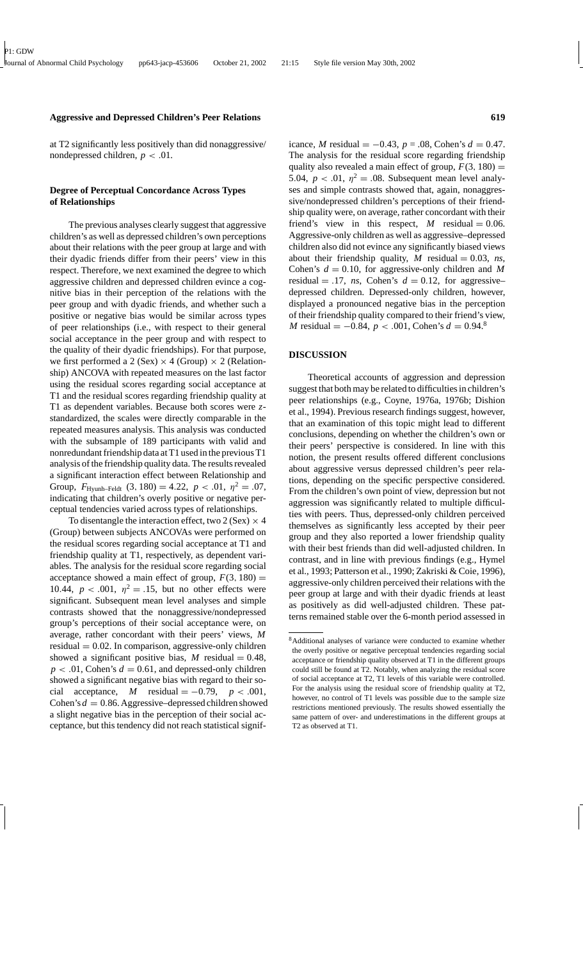at T2 significantly less positively than did nonaggressive/ nondepressed children, *p* < .01.

# **Degree of Perceptual Concordance Across Types of Relationships**

The previous analyses clearly suggest that aggressive children's as well as depressed children's own perceptions about their relations with the peer group at large and with their dyadic friends differ from their peers' view in this respect. Therefore, we next examined the degree to which aggressive children and depressed children evince a cognitive bias in their perception of the relations with the peer group and with dyadic friends, and whether such a positive or negative bias would be similar across types of peer relationships (i.e., with respect to their general social acceptance in the peer group and with respect to the quality of their dyadic friendships). For that purpose, we first performed a 2 (Sex)  $\times$  4 (Group)  $\times$  2 (Relationship) ANCOVA with repeated measures on the last factor using the residual scores regarding social acceptance at T1 and the residual scores regarding friendship quality at T1 as dependent variables. Because both scores were *z*standardized, the scales were directly comparable in the repeated measures analysis. This analysis was conducted with the subsample of 189 participants with valid and nonredundant friendship data at T1 used in the previous T1 analysis of the friendship quality data. The results revealed a significant interaction effect between Relationship and Group,  $F_{\text{Hyunh–Feldt}}$  (3, 180) = 4.22,  $p < .01$ ,  $\eta^2 = .07$ , indicating that children's overly positive or negative perceptual tendencies varied across types of relationships.

To disentangle the interaction effect, two 2 (Sex)  $\times$  4 (Group) between subjects ANCOVAs were performed on the residual scores regarding social acceptance at T1 and friendship quality at T1, respectively, as dependent variables. The analysis for the residual score regarding social acceptance showed a main effect of group,  $F(3, 180) =$ 10.44,  $p < .001$ ,  $\eta^2 = .15$ , but no other effects were significant. Subsequent mean level analyses and simple contrasts showed that the nonaggressive/nondepressed group's perceptions of their social acceptance were, on average, rather concordant with their peers' views, *M*  $residual = 0.02$ . In comparison, aggressive-only children showed a significant positive bias,  $M$  residual  $= 0.48$ ,  $p < .01$ , Cohen's  $d = 0.61$ , and depressed-only children showed a significant negative bias with regard to their social acceptance, *M* residual =  $-0.79$ ,  $p < .001$ , Cohen's  $d = 0.86$ . Aggressive–depressed children showed a slight negative bias in the perception of their social acceptance, but this tendency did not reach statistical significance, *M* residual = −0.43,  $p = .08$ , Cohen's  $d = 0.47$ . The analysis for the residual score regarding friendship quality also revealed a main effect of group,  $F(3, 180) =$ 5.04,  $p < .01$ ,  $\eta^2 = .08$ . Subsequent mean level analyses and simple contrasts showed that, again, nonaggressive/nondepressed children's perceptions of their friendship quality were, on average, rather concordant with their friend's view in this respect,  $M$  residual  $= 0.06$ . Aggressive-only children as well as aggressive–depressed children also did not evince any significantly biased views about their friendship quality, *M* residual  $= 0.03$ , *ns*, Cohen's  $d = 0.10$ , for aggressive-only children and M residual  $= .17$ , *ns*, Cohen's  $d = 0.12$ , for aggressive– depressed children. Depressed-only children, however, displayed a pronounced negative bias in the perception of their friendship quality compared to their friend's view, *M* residual =  $-0.84$ , *p* < .001, Cohen's  $d = 0.94$ .<sup>8</sup>

# **DISCUSSION**

Theoretical accounts of aggression and depression suggest that both may be related to difficulties in children's peer relationships (e.g., Coyne, 1976a, 1976b; Dishion et al., 1994). Previous research findings suggest, however, that an examination of this topic might lead to different conclusions, depending on whether the children's own or their peers' perspective is considered. In line with this notion, the present results offered different conclusions about aggressive versus depressed children's peer relations, depending on the specific perspective considered. From the children's own point of view, depression but not aggression was significantly related to multiple difficulties with peers. Thus, depressed-only children perceived themselves as significantly less accepted by their peer group and they also reported a lower friendship quality with their best friends than did well-adjusted children. In contrast, and in line with previous findings (e.g., Hymel et al., 1993; Patterson et al., 1990; Zakriski & Coie, 1996), aggressive-only children perceived their relations with the peer group at large and with their dyadic friends at least as positively as did well-adjusted children. These patterns remained stable over the 6-month period assessed in

<sup>8</sup>Additional analyses of variance were conducted to examine whether the overly positive or negative perceptual tendencies regarding social acceptance or friendship quality observed at T1 in the different groups could still be found at T2. Notably, when analyzing the residual score of social acceptance at T2, T1 levels of this variable were controlled. For the analysis using the residual score of friendship quality at T2, however, no control of T1 levels was possible due to the sample size restrictions mentioned previously. The results showed essentially the same pattern of over- and underestimations in the different groups at T2 as observed at T1.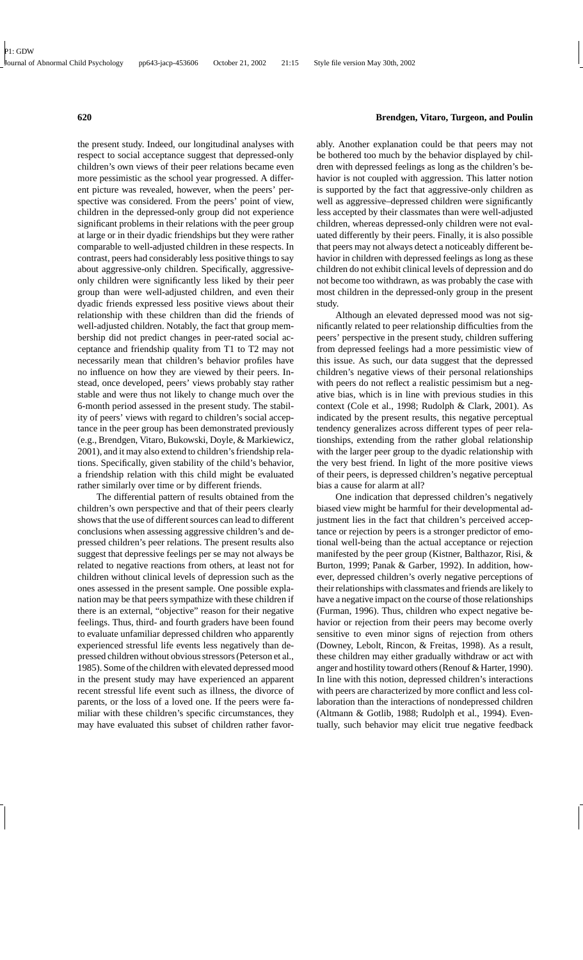the present study. Indeed, our longitudinal analyses with respect to social acceptance suggest that depressed-only children's own views of their peer relations became even more pessimistic as the school year progressed. A different picture was revealed, however, when the peers' perspective was considered. From the peers' point of view, children in the depressed-only group did not experience significant problems in their relations with the peer group at large or in their dyadic friendships but they were rather comparable to well-adjusted children in these respects. In contrast, peers had considerably less positive things to say about aggressive-only children. Specifically, aggressiveonly children were significantly less liked by their peer group than were well-adjusted children, and even their dyadic friends expressed less positive views about their relationship with these children than did the friends of well-adjusted children. Notably, the fact that group membership did not predict changes in peer-rated social acceptance and friendship quality from T1 to T2 may not necessarily mean that children's behavior profiles have no influence on how they are viewed by their peers. Instead, once developed, peers' views probably stay rather stable and were thus not likely to change much over the 6-month period assessed in the present study. The stability of peers' views with regard to children's social acceptance in the peer group has been demonstrated previously (e.g., Brendgen, Vitaro, Bukowski, Doyle, & Markiewicz, 2001), and it may also extend to children's friendship relations. Specifically, given stability of the child's behavior, a friendship relation with this child might be evaluated rather similarly over time or by different friends.

The differential pattern of results obtained from the children's own perspective and that of their peers clearly shows that the use of different sources can lead to different conclusions when assessing aggressive children's and depressed children's peer relations. The present results also suggest that depressive feelings per se may not always be related to negative reactions from others, at least not for children without clinical levels of depression such as the ones assessed in the present sample. One possible explanation may be that peers sympathize with these children if there is an external, "objective" reason for their negative feelings. Thus, third- and fourth graders have been found to evaluate unfamiliar depressed children who apparently experienced stressful life events less negatively than depressed children without obvious stressors (Peterson et al., 1985). Some of the children with elevated depressed mood in the present study may have experienced an apparent recent stressful life event such as illness, the divorce of parents, or the loss of a loved one. If the peers were familiar with these children's specific circumstances, they may have evaluated this subset of children rather favorably. Another explanation could be that peers may not be bothered too much by the behavior displayed by children with depressed feelings as long as the children's behavior is not coupled with aggression. This latter notion is supported by the fact that aggressive-only children as well as aggressive–depressed children were significantly less accepted by their classmates than were well-adjusted children, whereas depressed-only children were not evaluated differently by their peers. Finally, it is also possible that peers may not always detect a noticeably different behavior in children with depressed feelings as long as these children do not exhibit clinical levels of depression and do not become too withdrawn, as was probably the case with most children in the depressed-only group in the present study.

Although an elevated depressed mood was not significantly related to peer relationship difficulties from the peers' perspective in the present study, children suffering from depressed feelings had a more pessimistic view of this issue. As such, our data suggest that the depressed children's negative views of their personal relationships with peers do not reflect a realistic pessimism but a negative bias, which is in line with previous studies in this context (Cole et al., 1998; Rudolph & Clark, 2001). As indicated by the present results, this negative perceptual tendency generalizes across different types of peer relationships, extending from the rather global relationship with the larger peer group to the dyadic relationship with the very best friend. In light of the more positive views of their peers, is depressed children's negative perceptual bias a cause for alarm at all?

One indication that depressed children's negatively biased view might be harmful for their developmental adjustment lies in the fact that children's perceived acceptance or rejection by peers is a stronger predictor of emotional well-being than the actual acceptance or rejection manifested by the peer group (Kistner, Balthazor, Risi, & Burton, 1999; Panak & Garber, 1992). In addition, however, depressed children's overly negative perceptions of their relationships with classmates and friends are likely to have a negative impact on the course of those relationships (Furman, 1996). Thus, children who expect negative behavior or rejection from their peers may become overly sensitive to even minor signs of rejection from others (Downey, Lebolt, Rincon, & Freitas, 1998). As a result, these children may either gradually withdraw or act with anger and hostility toward others (Renouf & Harter, 1990). In line with this notion, depressed children's interactions with peers are characterized by more conflict and less collaboration than the interactions of nondepressed children (Altmann & Gotlib, 1988; Rudolph et al., 1994). Eventually, such behavior may elicit true negative feedback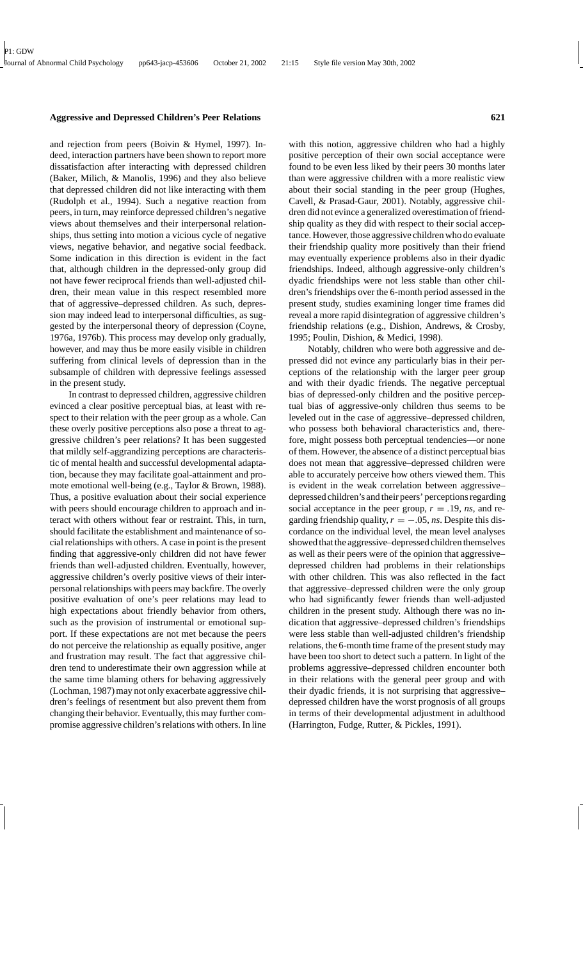and rejection from peers (Boivin & Hymel, 1997). Indeed, interaction partners have been shown to report more dissatisfaction after interacting with depressed children (Baker, Milich, & Manolis, 1996) and they also believe that depressed children did not like interacting with them (Rudolph et al., 1994). Such a negative reaction from peers, in turn, may reinforce depressed children's negative views about themselves and their interpersonal relationships, thus setting into motion a vicious cycle of negative views, negative behavior, and negative social feedback. Some indication in this direction is evident in the fact that, although children in the depressed-only group did not have fewer reciprocal friends than well-adjusted children, their mean value in this respect resembled more that of aggressive–depressed children. As such, depression may indeed lead to interpersonal difficulties, as suggested by the interpersonal theory of depression (Coyne, 1976a, 1976b). This process may develop only gradually, however, and may thus be more easily visible in children suffering from clinical levels of depression than in the subsample of children with depressive feelings assessed in the present study.

In contrast to depressed children, aggressive children evinced a clear positive perceptual bias, at least with respect to their relation with the peer group as a whole. Can these overly positive perceptions also pose a threat to aggressive children's peer relations? It has been suggested that mildly self-aggrandizing perceptions are characteristic of mental health and successful developmental adaptation, because they may facilitate goal-attainment and promote emotional well-being (e.g., Taylor & Brown, 1988). Thus, a positive evaluation about their social experience with peers should encourage children to approach and interact with others without fear or restraint. This, in turn, should facilitate the establishment and maintenance of social relationships with others. A case in point is the present finding that aggressive-only children did not have fewer friends than well-adjusted children. Eventually, however, aggressive children's overly positive views of their interpersonal relationships with peers may backfire. The overly positive evaluation of one's peer relations may lead to high expectations about friendly behavior from others, such as the provision of instrumental or emotional support. If these expectations are not met because the peers do not perceive the relationship as equally positive, anger and frustration may result. The fact that aggressive children tend to underestimate their own aggression while at the same time blaming others for behaving aggressively (Lochman, 1987) may not only exacerbate aggressive children's feelings of resentment but also prevent them from changing their behavior. Eventually, this may further compromise aggressive children's relations with others. In line

with this notion, aggressive children who had a highly positive perception of their own social acceptance were found to be even less liked by their peers 30 months later than were aggressive children with a more realistic view about their social standing in the peer group (Hughes, Cavell, & Prasad-Gaur, 2001). Notably, aggressive children did not evince a generalized overestimation of friendship quality as they did with respect to their social acceptance. However, those aggressive children who do evaluate their friendship quality more positively than their friend may eventually experience problems also in their dyadic friendships. Indeed, although aggressive-only children's dyadic friendships were not less stable than other children's friendships over the 6-month period assessed in the present study, studies examining longer time frames did reveal a more rapid disintegration of aggressive children's friendship relations (e.g., Dishion, Andrews, & Crosby, 1995; Poulin, Dishion, & Medici, 1998).

Notably, children who were both aggressive and depressed did not evince any particularly bias in their perceptions of the relationship with the larger peer group and with their dyadic friends. The negative perceptual bias of depressed-only children and the positive perceptual bias of aggressive-only children thus seems to be leveled out in the case of aggressive–depressed children, who possess both behavioral characteristics and, therefore, might possess both perceptual tendencies—or none of them. However, the absence of a distinct perceptual bias does not mean that aggressive–depressed children were able to accurately perceive how others viewed them. This is evident in the weak correlation between aggressive– depressed children's and their peers' perceptions regarding social acceptance in the peer group,  $r = .19$ , *ns*, and regarding friendship quality,  $r = -.05$ , *ns*. Despite this discordance on the individual level, the mean level analyses showed that the aggressive–depressed children themselves as well as their peers were of the opinion that aggressive– depressed children had problems in their relationships with other children. This was also reflected in the fact that aggressive–depressed children were the only group who had significantly fewer friends than well-adjusted children in the present study. Although there was no indication that aggressive–depressed children's friendships were less stable than well-adjusted children's friendship relations, the 6-month time frame of the present study may have been too short to detect such a pattern. In light of the problems aggressive–depressed children encounter both in their relations with the general peer group and with their dyadic friends, it is not surprising that aggressive– depressed children have the worst prognosis of all groups in terms of their developmental adjustment in adulthood (Harrington, Fudge, Rutter, & Pickles, 1991).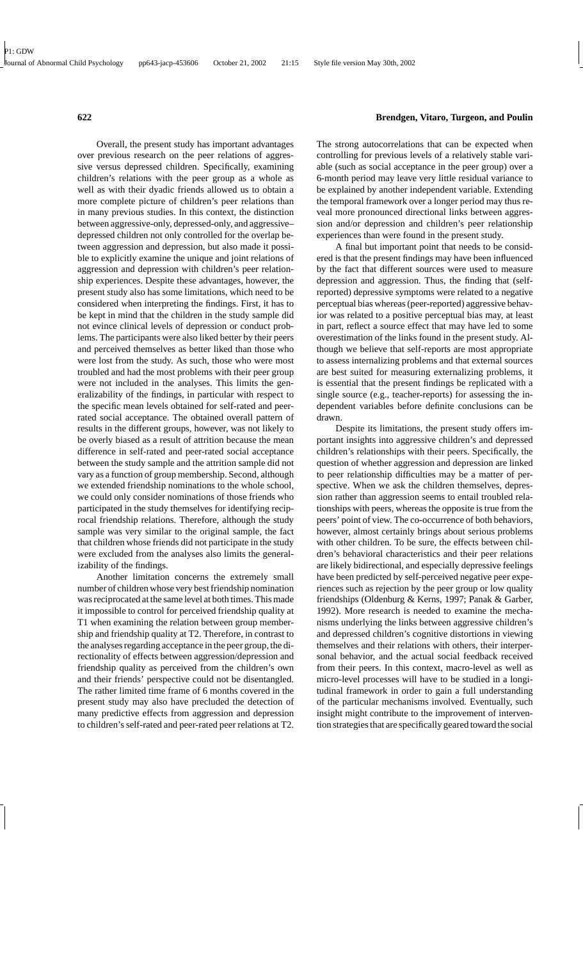Overall, the present study has important advantages over previous research on the peer relations of aggressive versus depressed children. Specifically, examining children's relations with the peer group as a whole as well as with their dyadic friends allowed us to obtain a more complete picture of children's peer relations than in many previous studies. In this context, the distinction between aggressive-only, depressed-only, and aggressive– depressed children not only controlled for the overlap between aggression and depression, but also made it possible to explicitly examine the unique and joint relations of aggression and depression with children's peer relationship experiences. Despite these advantages, however, the present study also has some limitations, which need to be considered when interpreting the findings. First, it has to be kept in mind that the children in the study sample did not evince clinical levels of depression or conduct problems. The participants were also liked better by their peers and perceived themselves as better liked than those who were lost from the study. As such, those who were most troubled and had the most problems with their peer group were not included in the analyses. This limits the generalizability of the findings, in particular with respect to the specific mean levels obtained for self-rated and peerrated social acceptance. The obtained overall pattern of results in the different groups, however, was not likely to be overly biased as a result of attrition because the mean difference in self-rated and peer-rated social acceptance between the study sample and the attrition sample did not vary as a function of group membership. Second, although we extended friendship nominations to the whole school, we could only consider nominations of those friends who participated in the study themselves for identifying reciprocal friendship relations. Therefore, although the study sample was very similar to the original sample, the fact that children whose friends did not participate in the study were excluded from the analyses also limits the generalizability of the findings.

Another limitation concerns the extremely small number of children whose very best friendship nomination was reciprocated at the same level at both times. This made it impossible to control for perceived friendship quality at T1 when examining the relation between group membership and friendship quality at T2. Therefore, in contrast to the analyses regarding acceptance in the peer group, the directionality of effects between aggression/depression and friendship quality as perceived from the children's own and their friends' perspective could not be disentangled. The rather limited time frame of 6 months covered in the present study may also have precluded the detection of many predictive effects from aggression and depression to children's self-rated and peer-rated peer relations at T2. The strong autocorrelations that can be expected when controlling for previous levels of a relatively stable variable (such as social acceptance in the peer group) over a 6-month period may leave very little residual variance to be explained by another independent variable. Extending the temporal framework over a longer period may thus reveal more pronounced directional links between aggression and/or depression and children's peer relationship experiences than were found in the present study.

A final but important point that needs to be considered is that the present findings may have been influenced by the fact that different sources were used to measure depression and aggression. Thus, the finding that (selfreported) depressive symptoms were related to a negative perceptual bias whereas (peer-reported) aggressive behavior was related to a positive perceptual bias may, at least in part, reflect a source effect that may have led to some overestimation of the links found in the present study. Although we believe that self-reports are most appropriate to assess internalizing problems and that external sources are best suited for measuring externalizing problems, it is essential that the present findings be replicated with a single source (e.g., teacher-reports) for assessing the independent variables before definite conclusions can be drawn.

Despite its limitations, the present study offers important insights into aggressive children's and depressed children's relationships with their peers. Specifically, the question of whether aggression and depression are linked to peer relationship difficulties may be a matter of perspective. When we ask the children themselves, depression rather than aggression seems to entail troubled relationships with peers, whereas the opposite is true from the peers' point of view. The co-occurrence of both behaviors, however, almost certainly brings about serious problems with other children. To be sure, the effects between children's behavioral characteristics and their peer relations are likely bidirectional, and especially depressive feelings have been predicted by self-perceived negative peer experiences such as rejection by the peer group or low quality friendships (Oldenburg & Kerns, 1997; Panak & Garber, 1992). More research is needed to examine the mechanisms underlying the links between aggressive children's and depressed children's cognitive distortions in viewing themselves and their relations with others, their interpersonal behavior, and the actual social feedback received from their peers. In this context, macro-level as well as micro-level processes will have to be studied in a longitudinal framework in order to gain a full understanding of the particular mechanisms involved. Eventually, such insight might contribute to the improvement of intervention strategies that are specifically geared toward the social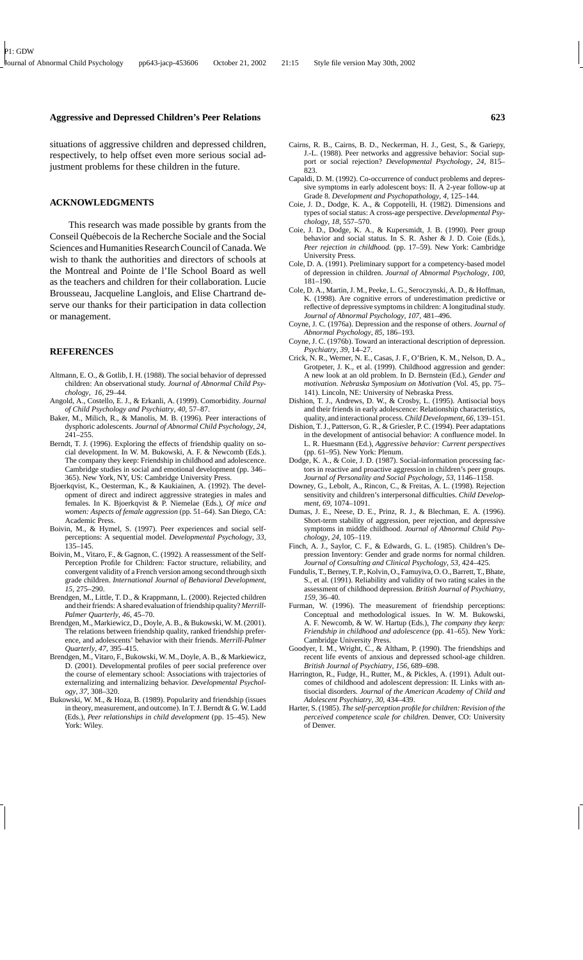situations of aggressive children and depressed children, respectively, to help offset even more serious social adjustment problems for these children in the future.

#### **ACKNOWLEDGMENTS**

This research was made possible by grants from the Conseil Québecois de la Recherche Sociale and the Social Sciences and Humanities Research Council of Canada. We wish to thank the authorities and directors of schools at the Montreal and Pointe de l'Ile School Board as well as the teachers and children for their collaboration. Lucie Brousseau, Jacqueline Langlois, and Elise Chartrand deserve our thanks for their participation in data collection or management.

## **REFERENCES**

- Altmann, E. O., & Gotlib, I. H. (1988). The social behavior of depressed children: An observational study. *Journal of Abnormal Child Psychology*, *16,* 29–44.
- Angold, A., Costello, E. J., & Erkanli, A. (1999). Comorbidity. *Journal of Child Psychology and Psychiatry*, *40,* 57–87.
- Baker, M., Milich, R., & Manolis, M. B. (1996). Peer interactions of dysphoric adolescents. *Journal of Abnormal Child Psychology*, *24,* 241–255.
- Berndt, T. J. (1996). Exploring the effects of friendship quality on social development. In W. M. Bukowski, A. F. & Newcomb (Eds.). The company they keep: Friendship in childhood and adolescence. Cambridge studies in social and emotional development (pp. 346– 365). New York, NY, US: Cambridge University Press.
- Bjoerkqvist, K., Oesterman, K., & Kaukiainen, A. (1992). The development of direct and indirect aggressive strategies in males and females. In K. Bjoerkqvist & P. Niemelae (Eds.), *Of mice and women: Aspects of female aggression* (pp. 51–64). San Diego, CA: Academic Press.
- Boivin, M., & Hymel, S. (1997). Peer experiences and social selfperceptions: A sequential model. *Developmental Psychology*, *33,* 135–145.
- Boivin, M., Vitaro, F., & Gagnon, C. (1992). A reassessment of the Self-Perception Profile for Children: Factor structure, reliability, and convergent validity of a French version among second through sixth grade children. *International Journal of Behavioral Development*, *15,* 275–290.
- Brendgen, M., Little, T. D., & Krappmann, L. (2000). Rejected children and their friends: A shared evaluation of friendship quality? *Merrill-Palmer Quarterly*, *46,* 45–70.
- Brendgen, M., Markiewicz, D., Doyle, A. B., & Bukowski, W. M. (2001). The relations between friendship quality, ranked friendship preference, and adolescents' behavior with their friends. *Merrill-Palmer Quarterly*, *47,* 395–415.
- Brendgen, M., Vitaro, F., Bukowski, W. M., Doyle, A. B., & Markiewicz, D. (2001). Developmental profiles of peer social preference over the course of elementary school: Associations with trajectories of externalizing and internalizing behavior. *Developmental Psychology*, *37,* 308–320.
- Bukowski, W. M., & Hoza, B. (1989). Popularity and friendship (issues in theory, measurement, and outcome). In T. J. Berndt & G. W. Ladd (Eds.), *Peer relationships in child development* (pp. 15–45). New York: Wiley.
- Cairns, R. B., Cairns, B. D., Neckerman, H. J., Gest, S., & Gariepy, J.-L. (1988). Peer networks and aggressive behavior: Social support or social rejection? *Developmental Psychology*, *24,* 815– 823.
- Capaldi, D. M. (1992). Co-occurrence of conduct problems and depressive symptoms in early adolescent boys: II. A 2-year follow-up at Grade 8. *Development and Psychopathology*, *4,* 125–144.
- Coie, J. D., Dodge, K. A., & Coppotelli, H. (1982). Dimensions and types of social status: A cross-age perspective. *Developmental Psychology*, *18,* 557–570.
- Coie, J. D., Dodge, K. A., & Kupersmidt, J. B. (1990). Peer group behavior and social status. In S. R. Asher & J. D. Coie (Eds.), *Peer rejection in childhood.* (pp. 17–59). New York: Cambridge University Press.
- Cole, D. A. (1991). Preliminary support for a competency-based model of depression in children. *Journal of Abnormal Psychology*, *100,* 181–190.
- Cole, D. A., Martin, J. M., Peeke, L. G., Seroczynski, A. D., & Hoffman, K. (1998). Are cognitive errors of underestimation predictive or reflective of depressive symptoms in children: A longitudinal study. *Journal of Abnormal Psychology*, *107,* 481–496.
- Coyne, J. C. (1976a). Depression and the response of others. *Journal of Abnormal Psychology*, *85,* 186–193.
- Coyne, J. C. (1976b). Toward an interactional description of depression. *Psychiatry*, *39,* 14–27.
- Crick, N. R., Werner, N. E., Casas, J. F., O'Brien, K. M., Nelson, D. A., Grotpeter, J. K., et al. (1999). Childhood aggression and gender: A new look at an old problem. In D. Bernstein (Ed.), *Gender and motivation. Nebraska Symposium on Motivation* (Vol. 45, pp. 75– 141). Lincoln, NE: University of Nebraska Press.
- Dishion, T. J., Andrews, D. W., & Crosby, L. (1995). Antisocial boys and their friends in early adolescence: Relationship characteristics, quality, and interactional process.*Child Development*, *66,* 139–151.
- Dishion, T. J., Patterson, G. R., & Griesler, P. C. (1994). Peer adaptations in the development of antisocial behavior: A confluence model. In L. R. Huesmann (Ed.), *Aggressive behavior: Current perspectives* (pp. 61–95). New York: Plenum.
- Dodge, K. A., & Coie, J. D. (1987). Social-information processing factors in reactive and proactive aggression in children's peer groups. *Journal of Personality and Social Psychology*, *53,* 1146–1158.
- Downey, G., Lebolt, A., Rincon, C., & Freitas, A. L. (1998). Rejection sensitivity and children's interpersonal difficulties. *Child Development*, *69,* 1074–1091.
- Dumas, J. E., Neese, D. E., Prinz, R. J., & Blechman, E. A. (1996). Short-term stability of aggression, peer rejection, and depressive symptoms in middle childhood. *Journal of Abnormal Child Psychology*, *24,* 105–119.
- Finch, A. J., Saylor, C. F., & Edwards, G. L. (1985). Children's Depression Inventory: Gender and grade norms for normal children. *Journal of Consulting and Clinical Psychology*, *53,* 424–425.
- Fundulis, T., Berney, T. P., Kolvin, O., Famuyiva, O. O., Barrett, T., Bhate, S., et al. (1991). Reliability and validity of two rating scales in the assessment of childhood depression. *British Journal of Psychiatry*, *159,* 36–40.
- Furman, W. (1996). The measurement of friendship perceptions: Conceptual and methodological issues. In W. M. Bukowski, A. F. Newcomb, & W. W. Hartup (Eds.), *The company they keep: Friendship in childhood and adolescence* (pp. 41–65). New York: Cambridge University Press.
- Goodyer, I. M., Wright, C., & Altham, P. (1990). The friendships and recent life events of anxious and depressed school-age children. *British Journal of Psychiatry*, *156,* 689–698.
- Harrington, R., Fudge, H., Rutter, M., & Pickles, A. (1991). Adult outcomes of childhood and adolescent depression: II. Links with antisocial disorders. *Journal of the American Academy of Child and Adolescent Psychiatry*, *30,* 434–439.
- Harter, S. (1985). *The self-perception profile for children: Revision of the perceived competence scale for children*. Denver, CO: University of Denver.